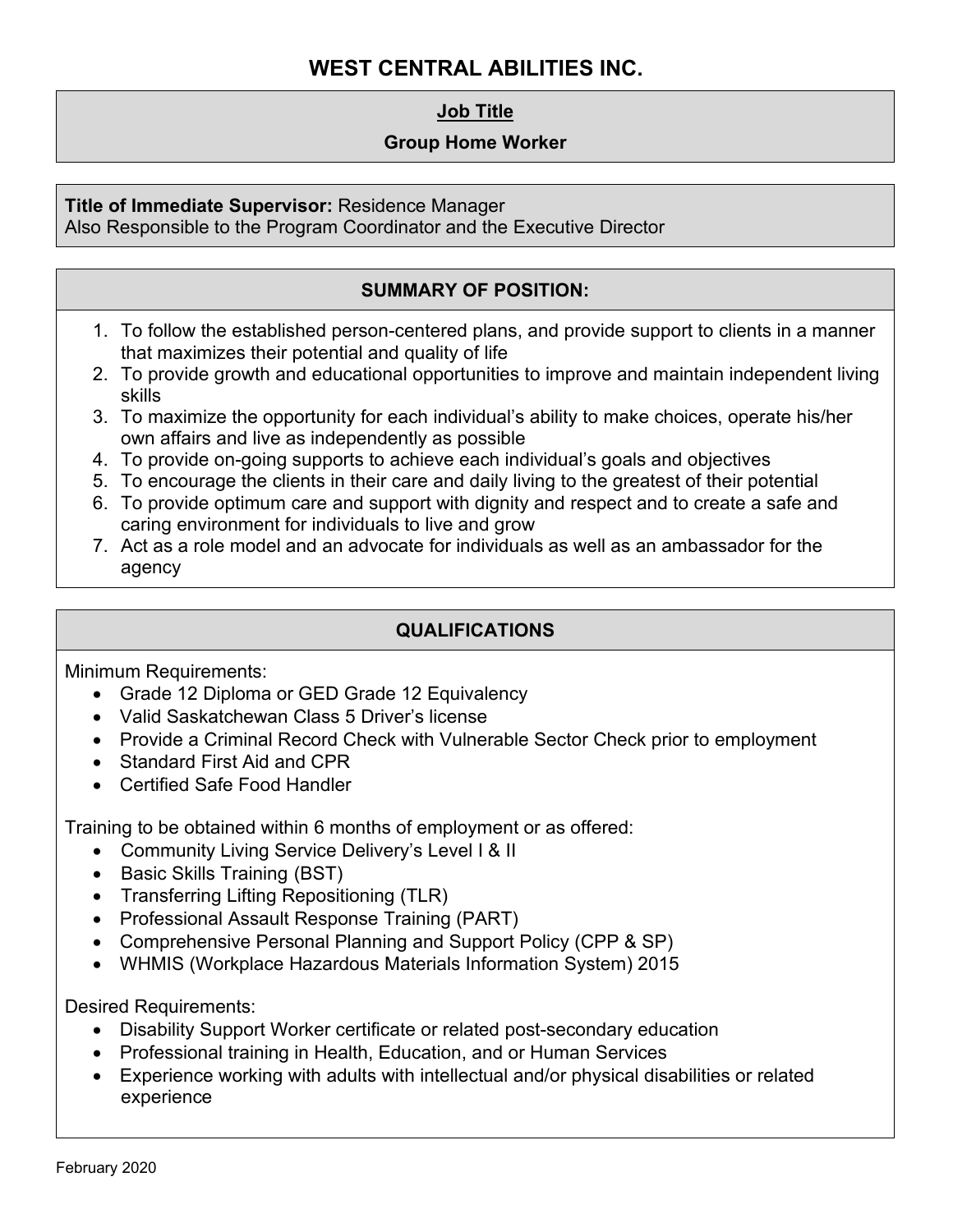# **WEST CENTRAL ABILITIES INC.**

## **Job Title**

#### **Group Home Worker**

**Title of Immediate Supervisor:** Residence Manager

Also Responsible to the Program Coordinator and the Executive Director

## **SUMMARY OF POSITION:**

- 1. To follow the established person-centered plans, and provide support to clients in a manner that maximizes their potential and quality of life
- 2. To provide growth and educational opportunities to improve and maintain independent living skills
- 3. To maximize the opportunity for each individual's ability to make choices, operate his/her own affairs and live as independently as possible
- 4. To provide on-going supports to achieve each individual's goals and objectives
- 5. To encourage the clients in their care and daily living to the greatest of their potential
- 6. To provide optimum care and support with dignity and respect and to create a safe and caring environment for individuals to live and grow
- 7. Act as a role model and an advocate for individuals as well as an ambassador for the agency

### **QUALIFICATIONS**

Minimum Requirements:

- Grade 12 Diploma or GED Grade 12 Equivalency
- Valid Saskatchewan Class 5 Driver's license
- Provide a Criminal Record Check with Vulnerable Sector Check prior to employment
- Standard First Aid and CPR
- Certified Safe Food Handler

Training to be obtained within 6 months of employment or as offered:

- Community Living Service Delivery's Level I & II
- Basic Skills Training (BST)
- Transferring Lifting Repositioning (TLR)
- Professional Assault Response Training (PART)
- Comprehensive Personal Planning and Support Policy (CPP & SP)
- WHMIS (Workplace Hazardous Materials Information System) 2015

Desired Requirements:

- Disability Support Worker certificate or related post-secondary education
- Professional training in Health, Education, and or Human Services
- Experience working with adults with intellectual and/or physical disabilities or related experience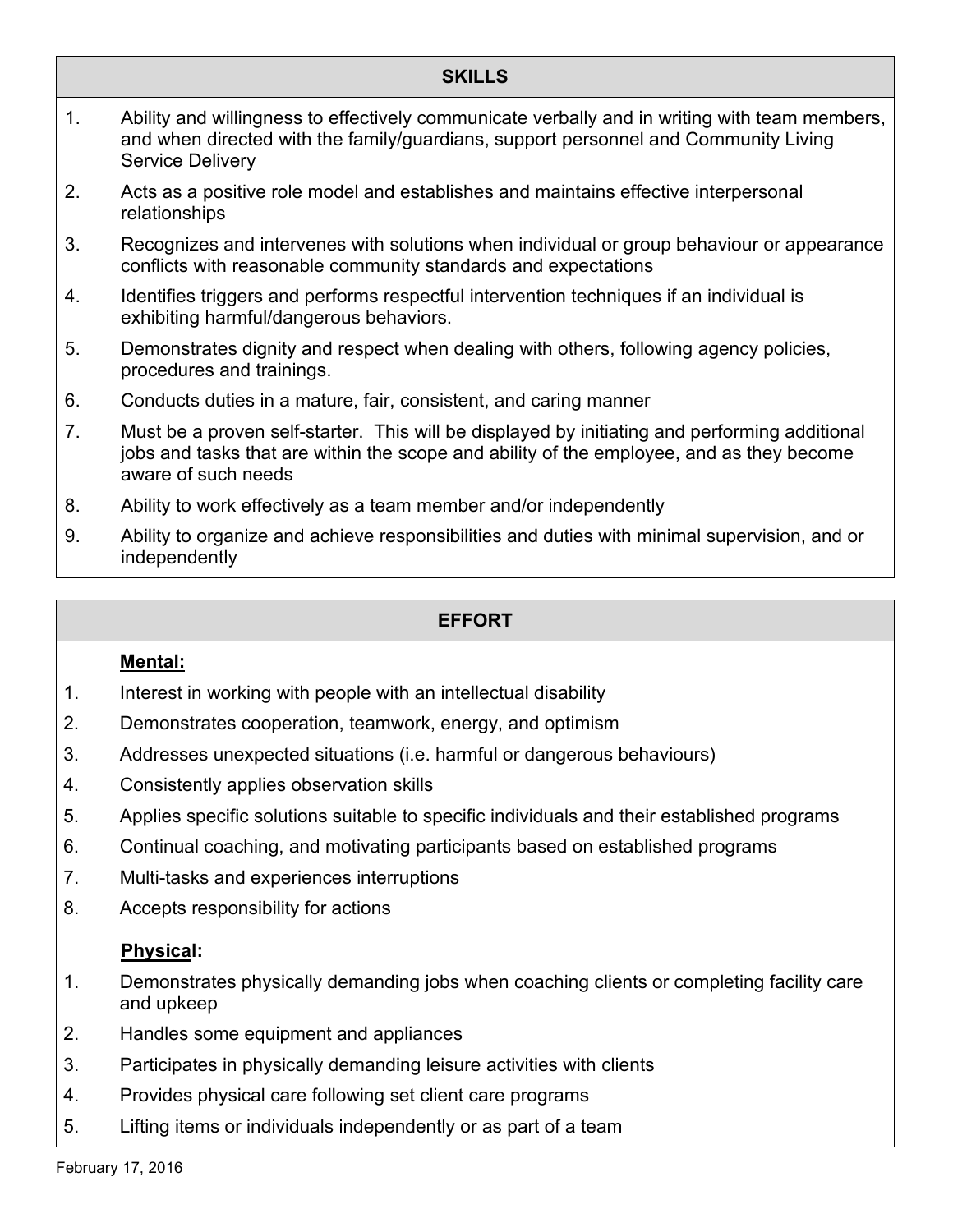## **SKILLS**

- 1. Ability and willingness to effectively communicate verbally and in writing with team members, and when directed with the family/guardians, support personnel and Community Living Service Delivery
- 2. Acts as a positive role model and establishes and maintains effective interpersonal relationships
- 3. Recognizes and intervenes with solutions when individual or group behaviour or appearance conflicts with reasonable community standards and expectations
- 4. Identifies triggers and performs respectful intervention techniques if an individual is exhibiting harmful/dangerous behaviors.
- 5. Demonstrates dignity and respect when dealing with others, following agency policies, procedures and trainings.
- 6. Conducts duties in a mature, fair, consistent, and caring manner
- 7. Must be a proven self-starter. This will be displayed by initiating and performing additional jobs and tasks that are within the scope and ability of the employee, and as they become aware of such needs
- 8. Ability to work effectively as a team member and/or independently
- 9. Ability to organize and achieve responsibilities and duties with minimal supervision, and or independently

## **EFFORT**

#### **Mental:**

- 1. Interest in working with people with an intellectual disability
- 2. Demonstrates cooperation, teamwork, energy, and optimism
- 3. Addresses unexpected situations (i.e. harmful or dangerous behaviours)
- 4. Consistently applies observation skills
- 5. Applies specific solutions suitable to specific individuals and their established programs
- 6. Continual coaching, and motivating participants based on established programs
- 7. Multi-tasks and experiences interruptions
- 8. Accepts responsibility for actions

### **Physical:**

- 1. Demonstrates physically demanding jobs when coaching clients or completing facility care and upkeep
- 2. Handles some equipment and appliances
- 3. Participates in physically demanding leisure activities with clients
- 4. Provides physical care following set client care programs
- 5. Lifting items or individuals independently or as part of a team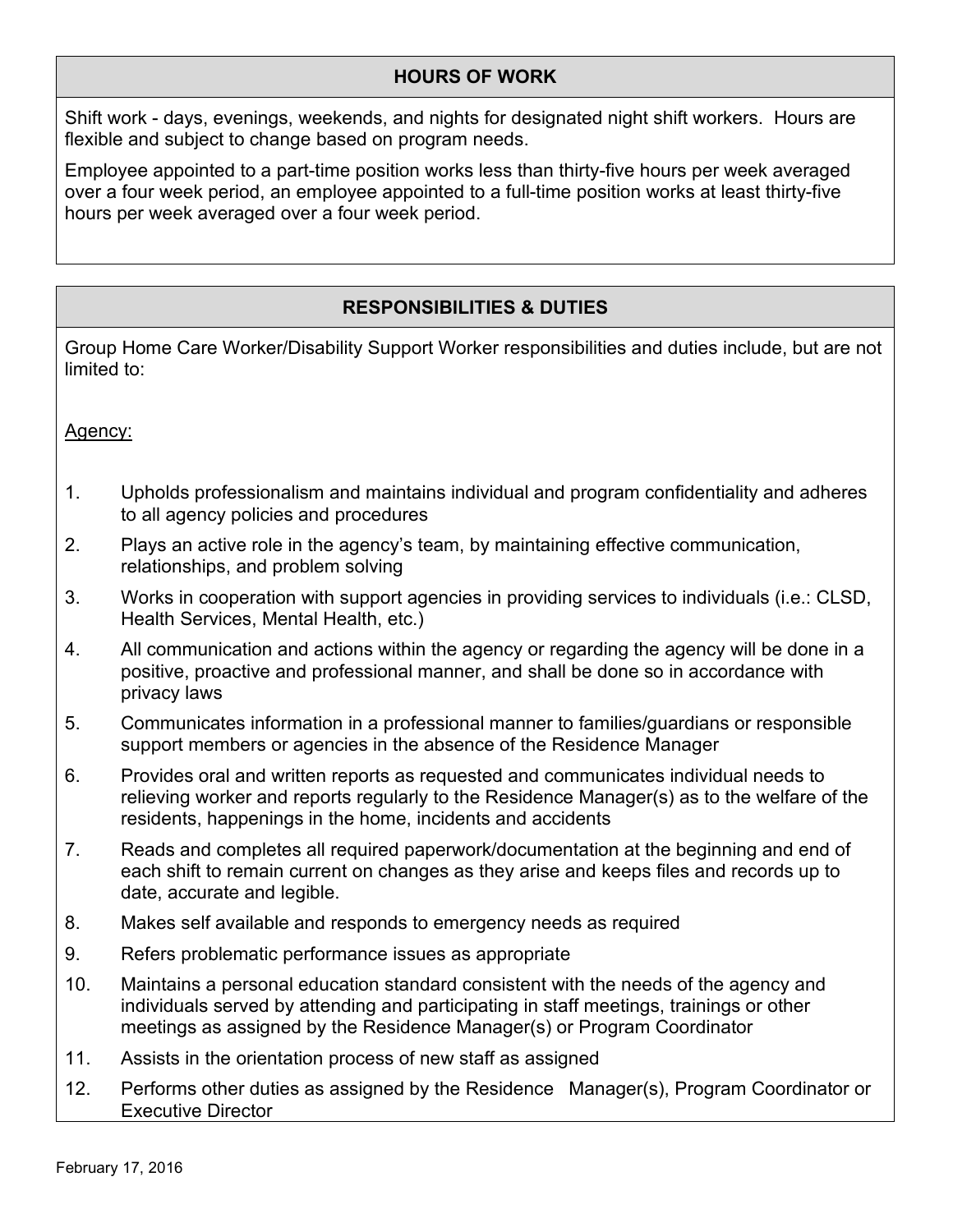## **HOURS OF WORK**

Shift work - days, evenings, weekends, and nights for designated night shift workers. Hours are flexible and subject to change based on program needs.

Employee appointed to a part-time position works less than thirty-five hours per week averaged over a four week period, an employee appointed to a full-time position works at least thirty-five hours per week averaged over a four week period.

## **RESPONSIBILITIES & DUTIES**

Group Home Care Worker/Disability Support Worker responsibilities and duties include, but are not limited to:

Agency:

- 1. Upholds professionalism and maintains individual and program confidentiality and adheres to all agency policies and procedures
- 2. Plays an active role in the agency's team, by maintaining effective communication, relationships, and problem solving
- 3. Works in cooperation with support agencies in providing services to individuals (i.e.: CLSD, Health Services, Mental Health, etc.)
- 4. All communication and actions within the agency or regarding the agency will be done in a positive, proactive and professional manner, and shall be done so in accordance with privacy laws
- 5. Communicates information in a professional manner to families/guardians or responsible support members or agencies in the absence of the Residence Manager
- 6. Provides oral and written reports as requested and communicates individual needs to relieving worker and reports regularly to the Residence Manager(s) as to the welfare of the residents, happenings in the home, incidents and accidents
- 7. Reads and completes all required paperwork/documentation at the beginning and end of each shift to remain current on changes as they arise and keeps files and records up to date, accurate and legible.
- 8. Makes self available and responds to emergency needs as required
- 9. Refers problematic performance issues as appropriate
- 10. Maintains a personal education standard consistent with the needs of the agency and individuals served by attending and participating in staff meetings, trainings or other meetings as assigned by the Residence Manager(s) or Program Coordinator
- 11. Assists in the orientation process of new staff as assigned
- 12. Performs other duties as assigned by the Residence Manager(s), Program Coordinator or Executive Director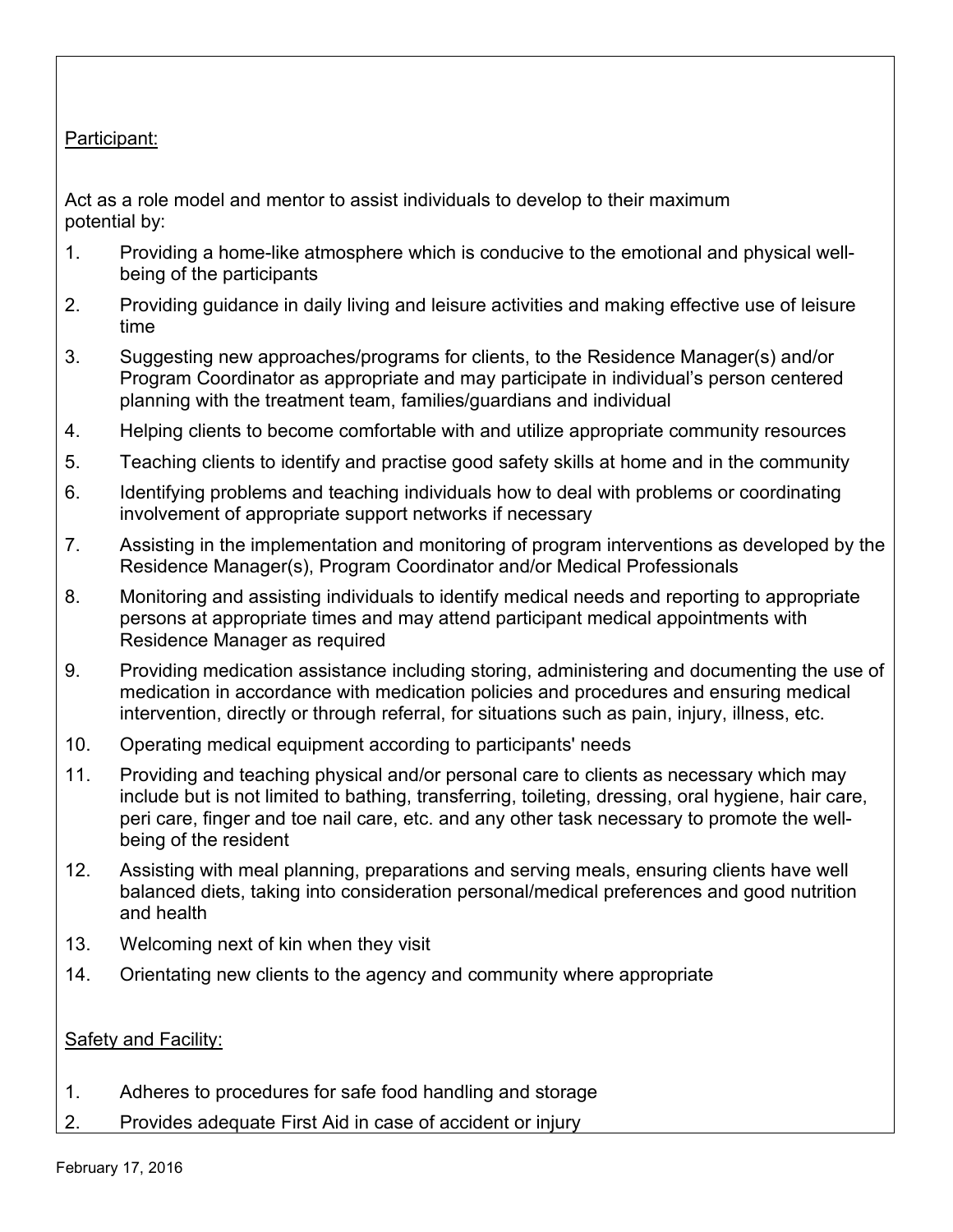## Participant:

Act as a role model and mentor to assist individuals to develop to their maximum potential by:

- 1. Providing a home-like atmosphere which is conducive to the emotional and physical wellbeing of the participants
- 2. Providing guidance in daily living and leisure activities and making effective use of leisure time
- 3. Suggesting new approaches/programs for clients, to the Residence Manager(s) and/or Program Coordinator as appropriate and may participate in individual's person centered planning with the treatment team, families/guardians and individual
- 4. Helping clients to become comfortable with and utilize appropriate community resources
- 5. Teaching clients to identify and practise good safety skills at home and in the community
- 6. Identifying problems and teaching individuals how to deal with problems or coordinating involvement of appropriate support networks if necessary
- 7. Assisting in the implementation and monitoring of program interventions as developed by the Residence Manager(s), Program Coordinator and/or Medical Professionals
- 8. Monitoring and assisting individuals to identify medical needs and reporting to appropriate persons at appropriate times and may attend participant medical appointments with Residence Manager as required
- 9. Providing medication assistance including storing, administering and documenting the use of medication in accordance with medication policies and procedures and ensuring medical intervention, directly or through referral, for situations such as pain, injury, illness, etc.
- 10. Operating medical equipment according to participants' needs
- 11. Providing and teaching physical and/or personal care to clients as necessary which may include but is not limited to bathing, transferring, toileting, dressing, oral hygiene, hair care, peri care, finger and toe nail care, etc. and any other task necessary to promote the wellbeing of the resident
- 12. Assisting with meal planning, preparations and serving meals, ensuring clients have well balanced diets, taking into consideration personal/medical preferences and good nutrition and health
- 13. Welcoming next of kin when they visit
- 14. Orientating new clients to the agency and community where appropriate

### Safety and Facility:

- 1. Adheres to procedures for safe food handling and storage
- 2. Provides adequate First Aid in case of accident or injury